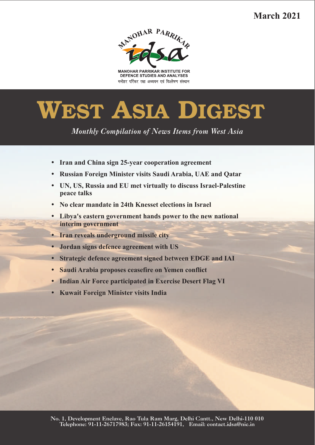**March 2021**



**MANOHAR PARRIKAR INSTITUTE FOR** DEFENCE STUDIES AND ANALYSES मनोहर पर्रिकर रक्षा अध्ययन एवं विश्लेषण संस्थान

# **WEST ASIA DIGEST**

*Monthly Compilation of News Items from West Asia* 

- 
- ??**Iran and China sign 25-year cooperation agreement**
- ?**Russian Foreign Minister visits Saudi Arabia, UAE and Qatar UN, US, Russia and EU met virtually to discuss Israel-Palestine Peace talks**<br>**•** No clear mandate in 24th Knesset elections in Israel
- 
- ?**No clear mandate in 24th Knesset elections in Israel Libya's eastern government hands power to the new national**
- **interim government**<br>• Iran reveals underg
- ?**Iran reveals underground missile city**
- ?**Jordan signs defence agreement with US** ?**Strategic defence agreement signed between EDGE and IAI**
- 
- ?**Saudi Arabia proposes ceasefire on Yemen conflict** ?**Indian Air Force participated in Exercise Desert Flag VI**
- **Kuwait Foreign Minister visits India**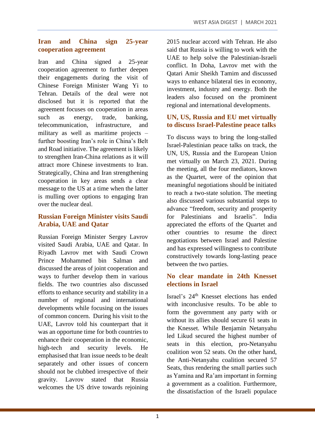## **Iran and China sign 25-year cooperation agreement**

Iran and China signed a 25-year cooperation agreement to further deepen their engagements during the visit of Chinese Foreign Minister Wang Yi to Tehran. Details of the deal were not disclosed but it is reported that the agreement focuses on cooperation in areas such as energy, trade, banking, telecommunication, infrastructure, and military as well as maritime projects – further boosting Iran's role in China's Belt and Road initiative. The agreement is likely to strengthen Iran-China relations as it will attract more Chinese investments to Iran. Strategically, China and Iran strengthening cooperation in key areas sends a clear message to the US at a time when the latter is mulling over options to engaging Iran over the nuclear deal.

## **Russian Foreign Minister visits Saudi Arabia, UAE and Qatar**

Russian Foreign Minister Sergey Lavrov visited Saudi Arabia, UAE and Qatar. In Riyadh Lavrov met with Saudi Crown Prince Mohammed bin Salman and discussed the areas of joint cooperation and ways to further develop them in various fields. The two countries also discussed efforts to enhance security and stability in a number of regional and international developments while focusing on the issues of common concern. During his visit to the UAE, Lavrov told his counterpart that it was an opportune time for both countries to enhance their cooperation in the economic, high-tech and security levels. He emphasised that Iran issue needs to be dealt separately and other issues of concern should not be clubbed irrespective of their gravity. Lavrov stated that Russia welcomes the US drive towards rejoining 2015 nuclear accord with Tehran. He also said that Russia is willing to work with the UAE to help solve the Palestinian-Israeli conflict. In Doha, Lavrov met with the Qatari Amir Sheikh Tamim and discussed ways to enhance bilateral ties in economy, investment, industry and energy. Both the leaders also focused on the prominent regional and international developments.

#### **UN, US, Russia and EU met virtually to discuss Israel-Palestine peace talks**

To discuss ways to bring the long-stalled Israel-Palestinian peace talks on track, the UN, US, Russia and the European Union met virtually on March 23, 2021. During the meeting, all the four mediators, known as the Quartet, were of the opinion that meaningful negotiations should be initiated to reach a two-state solution. The meeting also discussed various substantial steps to advance "freedom, security and prosperity for Palestinians and Israelis". India appreciated the efforts of the Quartet and other countries to resume the direct negotiations between Israel and Palestine and has expressed willingness to contribute constructively towards long-lasting peace between the two parties.

#### **No clear mandate in 24th Knesset elections in Israel**

Israel's 24th Knesset elections has ended with inconclusive results. To be able to form the government any party with or without its allies should secure 61 seats in the Knesset. While Benjamin Netanyahu led Likud secured the highest number of seats in this election, pro-Netanyahu coalition won 52 seats. On the other hand, the Anti-Netanyahu coalition secured 57 Seats, thus rendering the small parties such as Yamina and Ra'am important in forming a government as a coalition. Furthermore, the dissatisfaction of the Israeli populace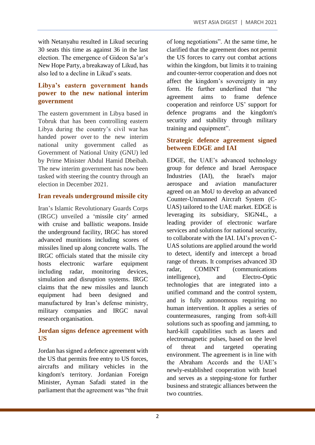with Netanyahu resulted in Likud securing 30 seats this time as against 36 in the last election. The emergence of Gideon Sa'ar's New Hope Party, a breakaway of Likud, has also led to a decline in Likud's seats.

#### **Libya's eastern government hands power to the new national interim government**

The eastern government in Libya based in Tobruk that has been controlling eastern Libya during the country's civil war has handed power over to the new interim national unity government called as Government of National Unity (GNU) led by Prime Minister Abdul Hamid Dbeibah. The new interim government has now been tasked with steering the country through an election in December 2021.

#### **Iran reveals underground missile city**

Iran's Islamic Revolutionary Guards Corps (IRGC) unveiled a 'missile city' armed with cruise and ballistic weapons. Inside the underground facility, IRGC has stored advanced munitions including scores of missiles lined up along concrete walls. The IRGC officials stated that the missile city hosts electronic warfare equipment including radar, monitoring devices, simulation and disruption systems. IRGC claims that the new missiles and launch equipment had been designed and manufactured by Iran's defense ministry, military companies and IRGC naval research organisation.

#### **Jordan signs defence agreement with US**

Jordan has signed a defence agreement with the US that permits free entry to US forces, aircrafts and military vehicles in the kingdom's territory. Jordanian Foreign Minister, Ayman Safadi stated in the parliament that the agreement was "the fruit of long negotiations". At the same time, he clarified that the agreement does not permit the US forces to carry out combat actions within the kingdom, but limits it to training and counter-terror cooperation and does not affect the kingdom's sovereignty in any form. He further underlined that "the agreement aims to frame defence cooperation and reinforce US' support for defence programs and the kingdom's security and stability through military training and equipment".

#### **Strategic defence agreement signed between EDGE and IAI**

EDGE, the UAE's advanced technology group for defence and Israel Aerospace Industries (IAI), the Israel's major aerospace and aviation manufacturer agreed on an MoU to develop an advanced Counter-Unmanned Aircraft System (C-UAS) tailored to the UAE market. EDGE is leveraging its subsidiary, SIGN4L, a leading provider of electronic warfare services and solutions for national security, to collaborate with the IAI. IAI's proven C-UAS solutions are applied around the world to detect, identify and intercept a broad range of threats. It comprises advanced 3D radar, COMINT (communications intelligence), and Electro-Optic technologies that are integrated into a unified command and the control system, and is fully autonomous requiring no human intervention. It applies a series of countermeasures, ranging from soft-kill solutions such as spoofing and jamming, to hard-kill capabilities such as lasers and electromagnetic pulses, based on the level of threat and targeted operating environment. The agreement is in line with the Abraham Accords and the UAE's newly-established cooperation with Israel and serves as a stepping-stone for further business and strategic alliances between the two countries.